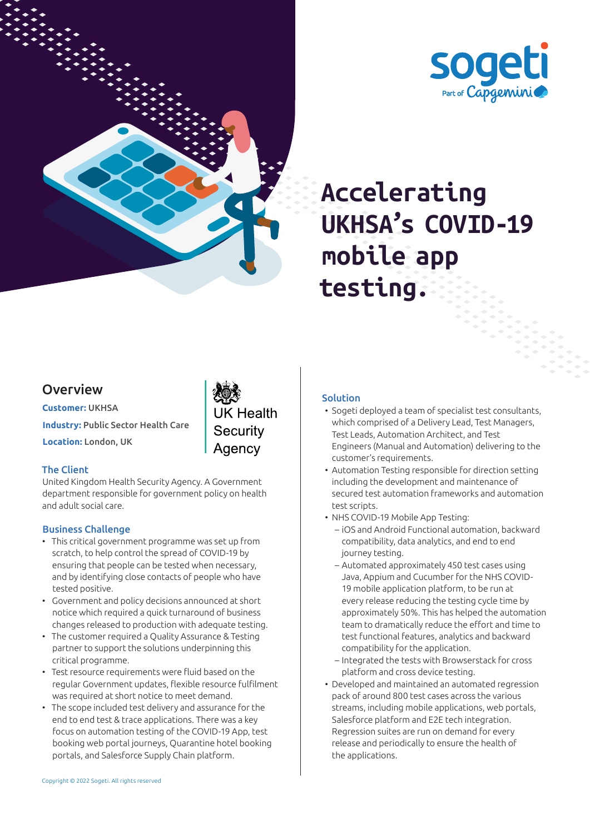



# **Accelerating UKHSA's COVID-19 mobile app testing.**

### Overview

**Customer:** UKHSA **Industry:** Public Sector Health Care **Location:** London, UK

**UK Health** Security Agency

#### The Client

United Kingdom Health Security Agency. A Government department responsible for government policy on health and adult social care.

#### Business Challenge

- This critical government programme was set up from scratch, to help control the spread of COVID-19 by ensuring that people can be tested when necessary, and by identifying close contacts of people who have tested positive.
- Government and policy decisions announced at short notice which required a quick turnaround of business changes released to production with adequate testing.
- The customer required a Quality Assurance & Testing partner to support the solutions underpinning this critical programme.
- Test resource requirements were fluid based on the regular Government updates, flexible resource fulfilment was required at short notice to meet demand.
- The scope included test delivery and assurance for the end to end test & trace applications. There was a key focus on automation testing of the COVID-19 App, test booking web portal journeys, Quarantine hotel booking portals, and Salesforce Supply Chain platform.

#### Solution

- Sogeti deployed a team of specialist test consultants, which comprised of a Delivery Lead, Test Managers, Test Leads, Automation Architect, and Test Engineers (Manual and Automation) delivering to the customer's requirements.
- Automation Testing responsible for direction setting including the development and maintenance of secured test automation frameworks and automation test scripts.
- NHS COVID-19 Mobile App Testing:
	- iOS and Android Functional automation, backward compatibility, data analytics, and end to end journey testing.
	- Automated approximately 450 test cases using Java, Appium and Cucumber for the NHS COVID-19 mobile application platform, to be run at every release reducing the testing cycle time by approximately 50%. This has helped the automation team to dramatically reduce the effort and time to test functional features, analytics and backward compatibility for the application.
	- Integrated the tests with Browserstack for cross platform and cross device testing.
- Developed and maintained an automated regression pack of around 800 test cases across the various streams, including mobile applications, web portals, Salesforce platform and E2E tech integration. Regression suites are run on demand for every release and periodically to ensure the health of the applications.